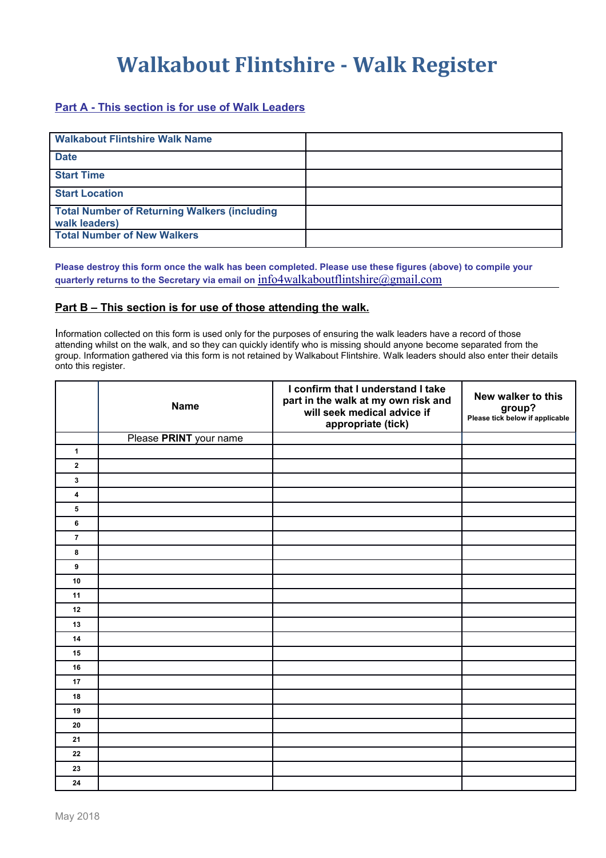## **Walkabout Flintshire - Walk Register**

## **Part A - This section is for use of Walk Leaders**

| <b>Walkabout Flintshire Walk Name</b>                                |  |
|----------------------------------------------------------------------|--|
| <b>Date</b>                                                          |  |
| <b>Start Time</b>                                                    |  |
| <b>Start Location</b>                                                |  |
| <b>Total Number of Returning Walkers (including</b><br>walk leaders) |  |
| <b>Total Number of New Walkers</b>                                   |  |

**Please destroy this form once the walk has been completed. Please use these figures (above) to compile your quarterly returns to the Secretary via email on** [info4walkaboutflintshire@gmail.com](mailto:info4walkaboutflintshire@gmail.com)

## **Part B – This section is for use of those attending the walk.**

Information collected on this form is used only for the purposes of ensuring the walk leaders have a record of those attending whilst on the walk, and so they can quickly identify who is missing should anyone become separated from the group. Information gathered via this form is not retained by Walkabout Flintshire. Walk leaders should also enter their details onto this register.

|                         | <b>Name</b>            | I confirm that I understand I take<br>part in the walk at my own risk and<br>will seek medical advice if<br>appropriate (tick) | New walker to this<br>group?<br>Please tick below if applicable |
|-------------------------|------------------------|--------------------------------------------------------------------------------------------------------------------------------|-----------------------------------------------------------------|
|                         | Please PRINT your name |                                                                                                                                |                                                                 |
| $\mathbf{1}$            |                        |                                                                                                                                |                                                                 |
| $\mathbf 2$             |                        |                                                                                                                                |                                                                 |
| 3                       |                        |                                                                                                                                |                                                                 |
| $\overline{\mathbf{4}}$ |                        |                                                                                                                                |                                                                 |
| 5                       |                        |                                                                                                                                |                                                                 |
| $6\phantom{a}$          |                        |                                                                                                                                |                                                                 |
| $\overline{7}$          |                        |                                                                                                                                |                                                                 |
| 8                       |                        |                                                                                                                                |                                                                 |
| 9                       |                        |                                                                                                                                |                                                                 |
| 10                      |                        |                                                                                                                                |                                                                 |
| 11                      |                        |                                                                                                                                |                                                                 |
| 12                      |                        |                                                                                                                                |                                                                 |
| 13                      |                        |                                                                                                                                |                                                                 |
| 14                      |                        |                                                                                                                                |                                                                 |
| 15                      |                        |                                                                                                                                |                                                                 |
| 16                      |                        |                                                                                                                                |                                                                 |
| 17                      |                        |                                                                                                                                |                                                                 |
| 18                      |                        |                                                                                                                                |                                                                 |
| 19                      |                        |                                                                                                                                |                                                                 |
| 20                      |                        |                                                                                                                                |                                                                 |
| 21                      |                        |                                                                                                                                |                                                                 |
| 22                      |                        |                                                                                                                                |                                                                 |
| 23                      |                        |                                                                                                                                |                                                                 |
| 24                      |                        |                                                                                                                                |                                                                 |